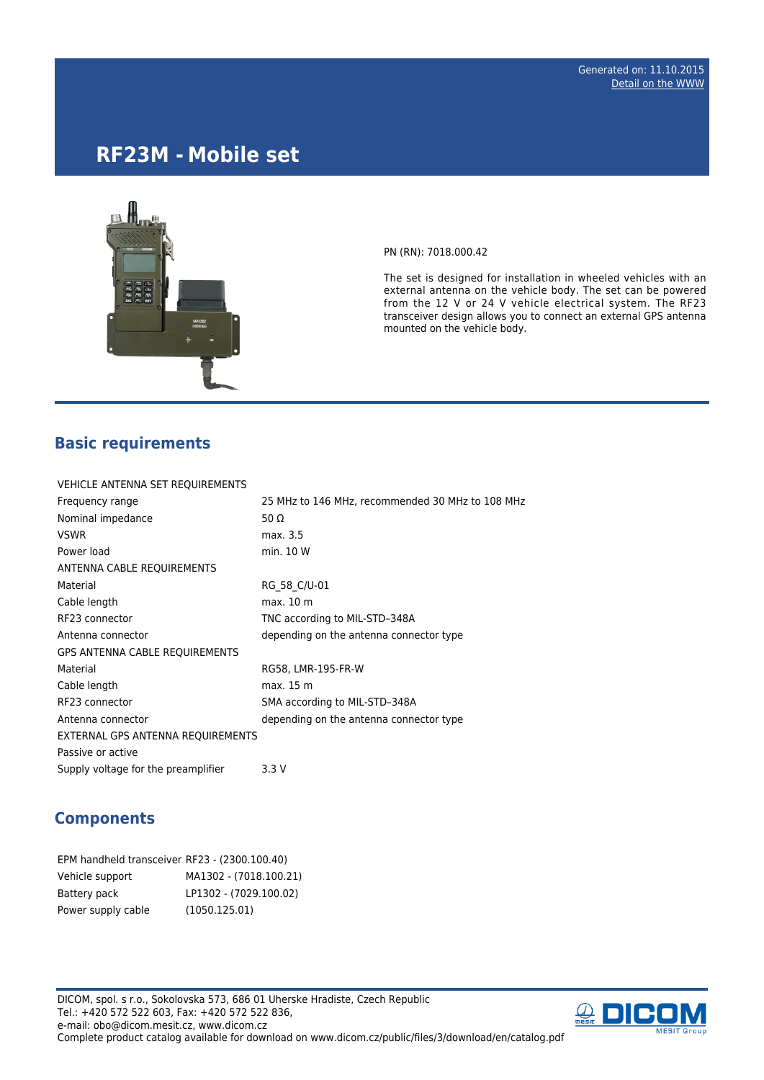# **RF23M - Mobile set**



PN (RN): 7018.000.42

The set is designed for installation in wheeled vehicles with an external antenna on the vehicle body. The set can be powered from the 12 V or 24 V vehicle electrical system. The RF23 transceiver design allows you to connect an external GPS antenna mounted on the vehicle body.

## **Basic requirements**

| VEHICLE ANTENNA SET REQUIREMENTS      |                                                  |
|---------------------------------------|--------------------------------------------------|
| Frequency range                       | 25 MHz to 146 MHz, recommended 30 MHz to 108 MHz |
| Nominal impedance                     | 50 $\Omega$                                      |
| <b>VSWR</b>                           | max. 3.5                                         |
| Power load                            | min. 10 W                                        |
| ANTENNA CABLE REQUIREMENTS            |                                                  |
| Material                              | RG 58 C/U-01                                     |
| Cable length                          | max. 10 m                                        |
| RF23 connector                        | TNC according to MIL-STD-348A                    |
| Antenna connector                     | depending on the antenna connector type          |
| <b>GPS ANTENNA CABLE REQUIREMENTS</b> |                                                  |
| Material                              | RG58, LMR-195-FR-W                               |
| Cable length                          | max. 15 m                                        |
| RF23 connector                        | SMA according to MIL-STD-348A                    |
| Antenna connector                     | depending on the antenna connector type          |
| EXTERNAL GPS ANTENNA REQUIREMENTS     |                                                  |
| Passive or active                     |                                                  |
| Supply voltage for the preamplifier   | 3.3 V                                            |

#### **Components**

| EPM handheld transceiver RF23 - (2300.100.40) |                        |
|-----------------------------------------------|------------------------|
| Vehicle support                               | MA1302 - (7018.100.21) |
| Battery pack                                  | LP1302 - (7029.100.02) |
| Power supply cable                            | (1050.125.01)          |